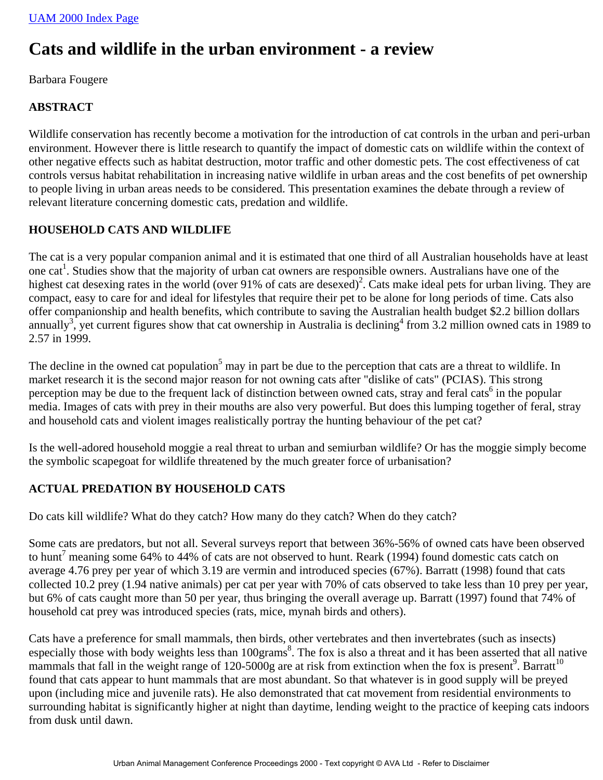## **Cats and wildlife in the urban environment - a review**

Barbara Fougere

#### **ABSTRACT**

Wildlife conservation has recently become a motivation for the introduction of cat controls in the urban and peri-urban environment. However there is little research to quantify the impact of domestic cats on wildlife within the context of other negative effects such as habitat destruction, motor traffic and other domestic pets. The cost effectiveness of cat controls versus habitat rehabilitation in increasing native wildlife in urban areas and the cost benefits of pet ownership to people living in urban areas needs to be considered. This presentation examines the debate through a review of relevant literature concerning domestic cats, predation and wildlife.

#### **HOUSEHOLD CATS AND WILDLIFE**

The cat is a very popular companion animal and it is estimated that one third of all Australian households have at least one cat<sup>1</sup>. Studies show that the majority of urban cat owners are responsible owners. Australians have one of the highest cat desexing rates in the world (over 91% of cats are desexed)<sup>2</sup>. Cats make ideal pets for urban living. They are compact, easy to care for and ideal for lifestyles that require their pet to be alone for long periods of time. Cats also offer companionship and health benefits, which contribute to saving the Australian health budget \$2.2 billion dollars annually<sup>3</sup>, yet current figures show that cat ownership in Australia is declining<sup>4</sup> from 3.2 million owned cats in 1989 to 2.57 in 1999.

The decline in the owned cat population<sup>5</sup> may in part be due to the perception that cats are a threat to wildlife. In market research it is the second major reason for not owning cats after "dislike of cats" (PCIAS). This strong perception may be due to the frequent lack of distinction between owned cats, stray and feral cats<sup>6</sup> in the popular media. Images of cats with prey in their mouths are also very powerful. But does this lumping together of feral, stray and household cats and violent images realistically portray the hunting behaviour of the pet cat?

Is the well-adored household moggie a real threat to urban and semiurban wildlife? Or has the moggie simply become the symbolic scapegoat for wildlife threatened by the much greater force of urbanisation?

## **ACTUAL PREDATION BY HOUSEHOLD CATS**

Do cats kill wildlife? What do they catch? How many do they catch? When do they catch?

Some cats are predators, but not all. Several surveys report that between 36%-56% of owned cats have been observed to hunt<sup>7</sup> meaning some 64% to 44% of cats are not observed to hunt. Reark (1994) found domestic cats catch on average 4.76 prey per year of which 3.19 are vermin and introduced species (67%). Barratt (1998) found that cats collected 10.2 prey (1.94 native animals) per cat per year with 70% of cats observed to take less than 10 prey per year, but 6% of cats caught more than 50 per year, thus bringing the overall average up. Barratt (1997) found that 74% of household cat prey was introduced species (rats, mice, mynah birds and others).

Cats have a preference for small mammals, then birds, other vertebrates and then invertebrates (such as insects) especially those with body weights less than 100grams<sup>8</sup>. The fox is also a threat and it has been asserted that all native mammals that fall in the weight range of 120-5000g are at risk from extinction when the fox is present<sup>9</sup>. Barratt<sup>10</sup> found that cats appear to hunt mammals that are most abundant. So that whatever is in good supply will be preyed upon (including mice and juvenile rats). He also demonstrated that cat movement from residential environments to surrounding habitat is significantly higher at night than daytime, lending weight to the practice of keeping cats indoors from dusk until dawn.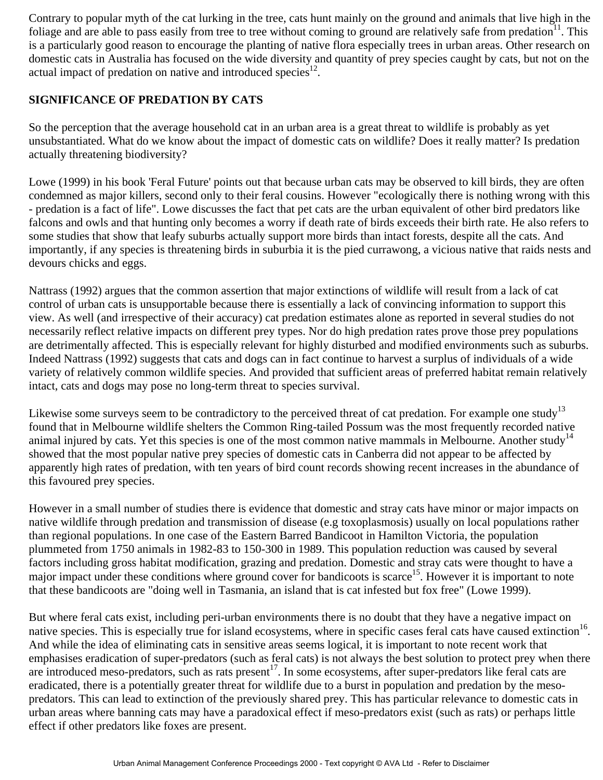Contrary to popular myth of the cat lurking in the tree, cats hunt mainly on the ground and animals that live high in the foliage and are able to pass easily from tree to tree without coming to ground are relatively safe from predation $\mathbf{u}^{\text{1}}$ . This is a particularly good reason to encourage the planting of native flora especially trees in urban areas. Other research on domestic cats in Australia has focused on the wide diversity and quantity of prey species caught by cats, but not on the actual impact of predation on native and introduced species<sup>12</sup>.

#### **SIGNIFICANCE OF PREDATION BY CATS**

So the perception that the average household cat in an urban area is a great threat to wildlife is probably as yet unsubstantiated. What do we know about the impact of domestic cats on wildlife? Does it really matter? Is predation actually threatening biodiversity?

Lowe (1999) in his book 'Feral Future' points out that because urban cats may be observed to kill birds, they are often condemned as major killers, second only to their feral cousins. However "ecologically there is nothing wrong with this - predation is a fact of life". Lowe discusses the fact that pet cats are the urban equivalent of other bird predators like falcons and owls and that hunting only becomes a worry if death rate of birds exceeds their birth rate. He also refers to some studies that show that leafy suburbs actually support more birds than intact forests, despite all the cats. And importantly, if any species is threatening birds in suburbia it is the pied currawong, a vicious native that raids nests and devours chicks and eggs.

Nattrass (1992) argues that the common assertion that major extinctions of wildlife will result from a lack of cat control of urban cats is unsupportable because there is essentially a lack of convincing information to support this view. As well (and irrespective of their accuracy) cat predation estimates alone as reported in several studies do not necessarily reflect relative impacts on different prey types. Nor do high predation rates prove those prey populations are detrimentally affected. This is especially relevant for highly disturbed and modified environments such as suburbs. Indeed Nattrass (1992) suggests that cats and dogs can in fact continue to harvest a surplus of individuals of a wide variety of relatively common wildlife species. And provided that sufficient areas of preferred habitat remain relatively intact, cats and dogs may pose no long-term threat to species survival.

Likewise some surveys seem to be contradictory to the perceived threat of cat predation. For example one study<sup>13</sup> found that in Melbourne wildlife shelters the Common Ring-tailed Possum was the most frequently recorded native animal injured by cats. Yet this species is one of the most common native mammals in Melbourne. Another study<sup>14</sup> showed that the most popular native prey species of domestic cats in Canberra did not appear to be affected by apparently high rates of predation, with ten years of bird count records showing recent increases in the abundance of this favoured prey species.

However in a small number of studies there is evidence that domestic and stray cats have minor or major impacts on native wildlife through predation and transmission of disease (e.g toxoplasmosis) usually on local populations rather than regional populations. In one case of the Eastern Barred Bandicoot in Hamilton Victoria, the population plummeted from 1750 animals in 1982-83 to 150-300 in 1989. This population reduction was caused by several factors including gross habitat modification, grazing and predation. Domestic and stray cats were thought to have a major impact under these conditions where ground cover for bandicoots is scarce<sup>15</sup>. However it is important to note that these bandicoots are "doing well in Tasmania, an island that is cat infested but fox free" (Lowe 1999).

But where feral cats exist, including peri-urban environments there is no doubt that they have a negative impact on native species. This is especially true for island ecosystems, where in specific cases feral cats have caused extinction<sup>16</sup>. And while the idea of eliminating cats in sensitive areas seems logical, it is important to note recent work that emphasises eradication of super-predators (such as feral cats) is not always the best solution to protect prey when there are introduced meso-predators, such as rats present<sup>17</sup>. In some ecosystems, after super-predators like feral cats are eradicated, there is a potentially greater threat for wildlife due to a burst in population and predation by the mesopredators. This can lead to extinction of the previously shared prey. This has particular relevance to domestic cats in urban areas where banning cats may have a paradoxical effect if meso-predators exist (such as rats) or perhaps little effect if other predators like foxes are present.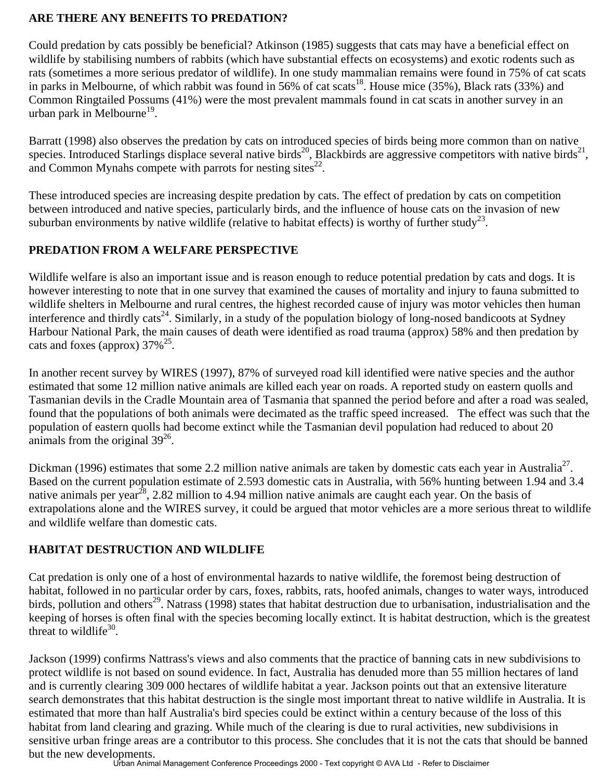#### **ARE THERE ANY BENEFITS TO PREDATION?**

Could predation by cats possibly be beneficial? Atkinson (1985) suggests that cats may have a beneficial effect on wildlife by stabilising numbers of rabbits (which have substantial effects on ecosystems) and exotic rodents such as rats (sometimes a more serious predator of wildlife). In one study mammalian remains were found in 75% of cat scats in parks in Melbourne, of which rabbit was found in 56% of cat scats<sup>18</sup>. House mice (35%), Black rats (33%) and Common Ringtailed Possums (41%) were the most prevalent mammals found in cat scats in another survey in an urban park in Melbourne<sup>19</sup>.

Barratt (1998) also observes the predation by cats on introduced species of birds being more common than on native species. Introduced Starlings displace several native birds<sup>20</sup>, Blackbirds are aggressive competitors with native birds<sup>21</sup>, and Common Mynahs compete with parrots for nesting sites $^{22}$ .

These introduced species are increasing despite predation by cats. The effect of predation by cats on competition between introduced and native species, particularly birds, and the influence of house cats on the invasion of new suburban environments by native wildlife (relative to habitat effects) is worthy of further study<sup>23</sup>.

#### **PREDATION FROM A WELFARE PERSPECTIVE**

Wildlife welfare is also an important issue and is reason enough to reduce potential predation by cats and dogs. It is however interesting to note that in one survey that examined the causes of mortality and injury to fauna submitted to wildlife shelters in Melbourne and rural centres, the highest recorded cause of injury was motor vehicles then human interference and thirdly cats<sup>24</sup>. Similarly, in a study of the population biology of long-nosed bandicoots at Sydney Harbour National Park, the main causes of death were identified as road trauma (approx) 58% and then predation by cats and foxes (approx)  $37\%^{25}$ .

In another recent survey by WIRES (1997), 87% of surveyed road kill identified were native species and the author estimated that some 12 million native animals are killed each year on roads. A reported study on eastern quolls and Tasmanian devils in the Cradle Mountain area of Tasmania that spanned the period before and after a road was sealed, found that the populations of both animals were decimated as the traffic speed increased. The effect was such that the population of eastern quolls had become extinct while the Tasmanian devil population had reduced to about 20 animals from the original  $39^{26}$ .

Dickman (1996) estimates that some 2.2 million native animals are taken by domestic cats each year in Australia<sup>27</sup>. Based on the current population estimate of 2.593 domestic cats in Australia, with 56% hunting between 1.94 and 3.4 native animals per year<sup>28</sup>, 2.82 million to 4.94 million native animals are caught each year. On the basis of extrapolations alone and the WIRES survey, it could be argued that motor vehicles are a more serious threat to wildlife and wildlife welfare than domestic cats.

## **HABITAT DESTRUCTION AND WILDLIFE**

Cat predation is only one of a host of environmental hazards to native wildlife, the foremost being destruction of habitat, followed in no particular order by cars, foxes, rabbits, rats, hoofed animals, changes to water ways, introduced birds, pollution and others<sup>29</sup>. Natrass (1998) states that habitat destruction due to urbanisation, industrialisation and the keeping of horses is often final with the species becoming locally extinct. It is habitat destruction, which is the greatest threat to wildlife $30$ .

Jackson (1999) confirms Nattrass's views and also comments that the practice of banning cats in new subdivisions to protect wildlife is not based on sound evidence. In fact, Australia has denuded more than 55 million hectares of land and is currently clearing 309 000 hectares of wildlife habitat a year. Jackson points out that an extensive literature search demonstrates that this habitat destruction is the single most important threat to native wildlife in Australia. It is estimated that more than half Australia's bird species could be extinct within a century because of the loss of this habitat from land clearing and grazing. While much of the clearing is due to rural activities, new subdivisions in sensitive urban fringe areas are a contributor to this process. She concludes that it is not the cats that should be banned but the new developments.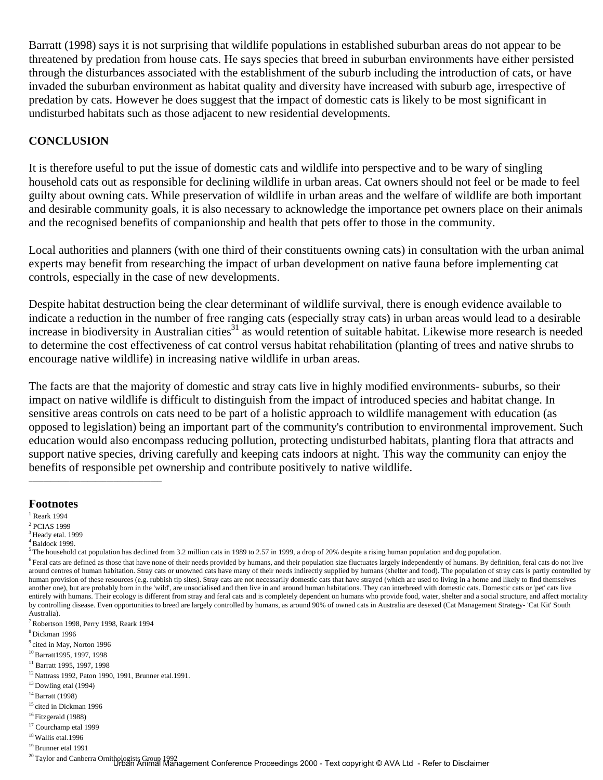Barratt (1998) says it is not surprising that wildlife populations in established suburban areas do not appear to be threatened by predation from house cats. He says species that breed in suburban environments have either persisted through the disturbances associated with the establishment of the suburb including the introduction of cats, or have invaded the suburban environment as habitat quality and diversity have increased with suburb age, irrespective of predation by cats. However he does suggest that the impact of domestic cats is likely to be most significant in undisturbed habitats such as those adjacent to new residential developments.

#### **CONCLUSION**

It is therefore useful to put the issue of domestic cats and wildlife into perspective and to be wary of singling household cats out as responsible for declining wildlife in urban areas. Cat owners should not feel or be made to feel guilty about owning cats. While preservation of wildlife in urban areas and the welfare of wildlife are both important and desirable community goals, it is also necessary to acknowledge the importance pet owners place on their animals and the recognised benefits of companionship and health that pets offer to those in the community.

Local authorities and planners (with one third of their constituents owning cats) in consultation with the urban animal experts may benefit from researching the impact of urban development on native fauna before implementing cat controls, especially in the case of new developments.

Despite habitat destruction being the clear determinant of wildlife survival, there is enough evidence available to indicate a reduction in the number of free ranging cats (especially stray cats) in urban areas would lead to a desirable increase in biodiversity in Australian cities<sup>31</sup> as would retention of suitable habitat. Likewise more research is needed to determine the cost effectiveness of cat control versus habitat rehabilitation (planting of trees and native shrubs to encourage native wildlife) in increasing native wildlife in urban areas.

The facts are that the majority of domestic and stray cats live in highly modified environments- suburbs, so their impact on native wildlife is difficult to distinguish from the impact of introduced species and habitat change. In sensitive areas controls on cats need to be part of a holistic approach to wildlife management with education (as opposed to legislation) being an important part of the community's contribution to environmental improvement. Such education would also encompass reducing pollution, protecting undisturbed habitats, planting flora that attracts and support native species, driving carefully and keeping cats indoors at night. This way the community can enjoy the benefits of responsible pet ownership and contribute positively to native wildlife.

# **Footnotes**<br><sup>1</sup> Reark 1994

- 2 PCIAS 1999
- $3$  Heady etal. 1999

- 12 Nattrass 1992, Paton 1990, 1991, Brunner etal.1991.
- 13 Dowling etal (1994)
- 14 Barratt (1998)
- <sup>15</sup> cited in Dickman 1996
- 16 Fitzgerald (1988)
- <sup>17</sup> Courchamp etal 1999
- 18 Wallis etal.1996
- 19 Brunner etal 1991

 $4$  Baldock 1999.

 $5$  The household cat population has declined from 3.2 million cats in 1989 to 2.57 in 1999, a drop of 20% despite a rising human population and dog population.

 $<sup>6</sup>$  Feral cats are defined as those that have none of their needs provided by humans, and their population size fluctuates largely independently of humans. By definition, feral cats do not live</sup> around centres of human habitation. Stray cats or unowned cats have many of their needs indirectly supplied by humans (shelter and food). The population of stray cats is partly controlled by human provision of these resources (e.g. rubbish tip sites). Stray cats are not necessarily domestic cats that have strayed (which are used to living in a home and likely to find themselves another one), but are probably born in the 'wild', are unsocialised and then live in and around human habitations. They can interbreed with domestic cats. Domestic cats or 'pet' cats live entirely with humans. Their ecology is different from stray and feral cats and is completely dependent on humans who provide food, water, shelter and a social structure, and affect mortality by controlling disease. Even opportunities to breed are largely controlled by humans, as around 90% of owned cats in Australia are desexed (Cat Management Strategy- 'Cat Kit' South Australia).

<sup>7</sup> Robertson 1998, Perry 1998, Reark 1994

<sup>8</sup> Dickman 1996

<sup>&</sup>lt;sup>9</sup> cited in May, Norton 1996

<sup>10</sup> Barratt1995, 1997, 1998

<sup>&</sup>lt;sup>11</sup> Barratt 1995, 1997, 1998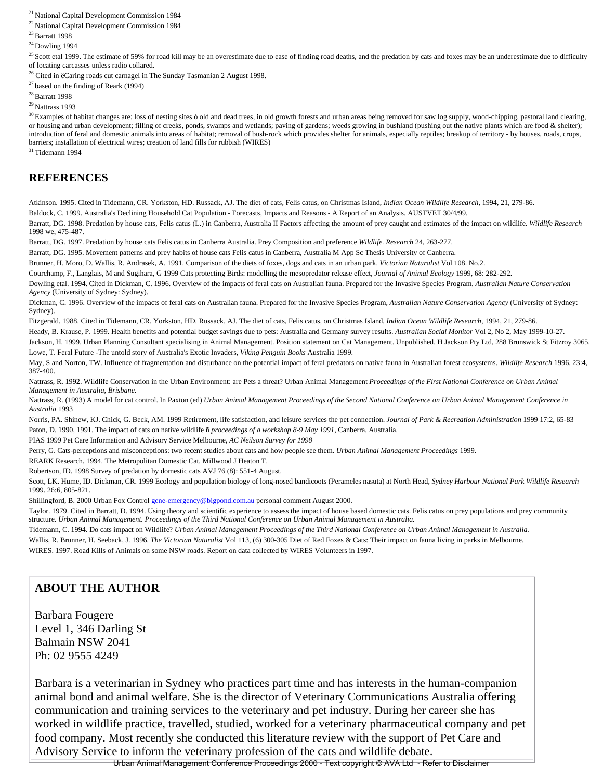21 National Capital Development Commission 1984

22 National Capital Development Commission 1984

23 Barratt 1998

 $\rm{^{24}$  Dowling 1994

 $25$  Scott etal 1999. The estimate of 59% for road kill may be an overestimate due to ease of finding road deaths, and the predation by cats and foxes may be an underestimate due to difficulty of locating carcasses unless radio collared.

<sup>26</sup> Cited in ëCaring roads cut carnageí in The Sunday Tasmanian 2 August 1998.

 $27$  based on the finding of Reark (1994)

28 Barratt 1998

29 Nattrass 1993

<sup>30</sup> Examples of habitat changes are: loss of nesting sites ó old and dead trees, in old growth forests and urban areas being removed for saw log supply, wood-chipping, pastoral land clearing, or housing and urban development; filling of creeks, ponds, swamps and wetlands; paving of gardens; weeds growing in bushland (pushing out the native plants which are food & shelter); introduction of feral and domestic animals into areas of habitat; removal of bush-rock which provides shelter for animals, especially reptiles; breakup of territory - by houses, roads, crops, barriers; installation of electrical wires; creation of land fills for rubbish (WIRES)

31 Tidemann 1994

#### **REFERENCES**

Atkinson. 1995. Cited in Tidemann, CR. Yorkston, HD. Russack, AJ. The diet of cats, Felis catus, on Christmas Island, *Indian Ocean Wildlife Research*, 1994, 21, 279-86.<br>Baldock, C. 1999. Australia's Declining Household Ca

Barratt, DG. 1998. Predation by house cats, Felis catus (L.) in Canberra, Australia II Factors affecting the amount of prey caught and estimates of the impact on wildlife. *Wildlife Research*  1998 we, 475-487.

Barratt, DG. 1997. Predation by house cats Felis catus in Canberra Australia. Prey Composition and preference *Wildlife. Research* 24, 263-277.

Barratt, DG. 1995. Movement patterns and prey habits of house cats Felis catus in Canberra, Australia M App Sc Thesis University of Canberra.

Brunner, H. Moro, D. Wallis, R. Andrasek, A. 1991. Comparison of the diets of foxes, dogs and cats in an urban park. *Victorian Naturalist* Vol 108. No.2.

Courchamp, F., Langlais, M and Sugihara, G 1999 Cats protecting Birds: modelling the mesopredator release effect, *Journal of Animal Ecology* 1999, 68: 282-292. Dowling etal. 1994. Cited in Dickman, C. 1996. Overview of the impacts of feral cats on Australian fauna. Prepared for the Invasive Species Program, *Australian Nature Conservation* 

*Agency* (University of Sydney: Sydney).

Dickman, C. 1996. Overview of the impacts of feral cats on Australian fauna. Prepared for the Invasive Species Program, *Australian Nature Conservation Agency* (University of Sydney: Sydney).

Fitzgerald. 1988. Cited in Tidemann, CR. Yorkston, HD. Russack, AJ. The diet of cats, Felis catus, on Christmas Island, *Indian Ocean Wildlife Research*, 1994, 21, 279-86.

Heady, B. Krause, P. 1999. Health benefits and potential budget savings due to pets: Australia and Germany survey results. *Australian Social Monitor* Vol 2, No 2, May 1999-10-27.

Jackson, H. 1999. Urban Planning Consultant specialising in Animal Management. Position statement on Cat Management. Unpublished. H Jackson Pty Ltd, 288 Brunswick St Fitzroy 3065. Lowe, T. Feral Future -The untold story of Australia's Exotic Invaders, *Viking Penguin Books* Australia 1999.

May, S and Norton, TW. Influence of fragmentation and disturbance on the potential impact of feral predators on native fauna in Australian forest ecosystems. *Wildlife Research* 1996. 23:4, 387-400.

Nattrass, R. 1992. Wildlife Conservation in the Urban Environment: are Pets a threat? Urban Animal Management *Proceedings of the First National Conference on Urban Animal Management in Australia, Brisbane*.

Nattrass, R. (1993) A model for cat control. In Paxton (ed) *Urban Animal Management Proceedings of the Second National Conference on Urban Animal Management Conference in Australia* 1993

Norris, PA. Shinew, KJ. Chick, G. Beck, AM. 1999 Retirement, life satisfaction, and leisure services the pet connection. *Journal of Park & Recreation Administration* 1999 17:2, 65-83 Paton, D. 1990, 1991. The impact of cats on native wildlife ñ *proceedings of a workshop 8-9 May 1991*, Canberra, Australia.

PIAS 1999 Pet Care Information and Advisory Service Melbourne, *AC Neilson Survey for 1998*

Perry, G. Cats-perceptions and misconceptions: two recent studies about cats and how people see them. *Urban Animal Management Proceedings* 1999.

REARK Research. 1994. The Metropolitan Domestic Cat. Millwood J Heaton T.

Robertson, ID. 1998 Survey of predation by domestic cats AVJ 76 (8): 551-4 August.

Scott, LK. Hume, ID. Dickman, CR. 1999 Ecology and population biology of long-nosed bandicoots (Perameles nasuta) at North Head, *Sydney Harbour National Park Wildlife Research*  1999. 26:6, 805-821.

Shillingford, B. 2000 Urban Fox Control gene-emergency@bigpond.com.au personal comment August 2000.

Taylor. 1979. Cited in Barratt, D. 1994. Using theory and scientific experience to assess the impact of house based domestic cats. Felis catus on prey populations and prey community structure. *Urban Animal Management. Proceedings of the Third National Conference on Urban Animal Management in Australia.*

Tidemann, C. 1994. Do cats impact on Wildlife? *Urban Animal Management Proceedings of the Third National Conference on Urban Animal Management in Australia.* Wallis, R. Brunner, H. Seeback, J. 1996. *The Victorian Naturalist* Vol 113, (6) 300-305 Diet of Red Foxes & Cats: Their impact on fauna living in parks in Melbourne.

WIRES. 1997. Road Kills of Animals on some NSW roads. Report on data collected by WIRES Volunteers in 1997.

#### **ABOUT THE AUTHOR**

Barbara Fougere Level 1, 346 Darling St Balmain NSW 2041 Ph: 02 9555 4249

Barbara is a veterinarian in Sydney who practices part time and has interests in the human-companion animal bond and animal welfare. She is the director of Veterinary Communications Australia offering communication and training services to the veterinary and pet industry. During her career she has worked in wildlife practice, travelled, studied, worked for a veterinary pharmaceutical company and pet food company. Most recently she conducted this literature review with the support of Pet Care and Advisory Service to inform the veterinary profession of the cats and wildlife debate.

Urban Animal Management Conference Proceedings 2000 - Text copyright © AVA Ltd - Refer to Disclaimer